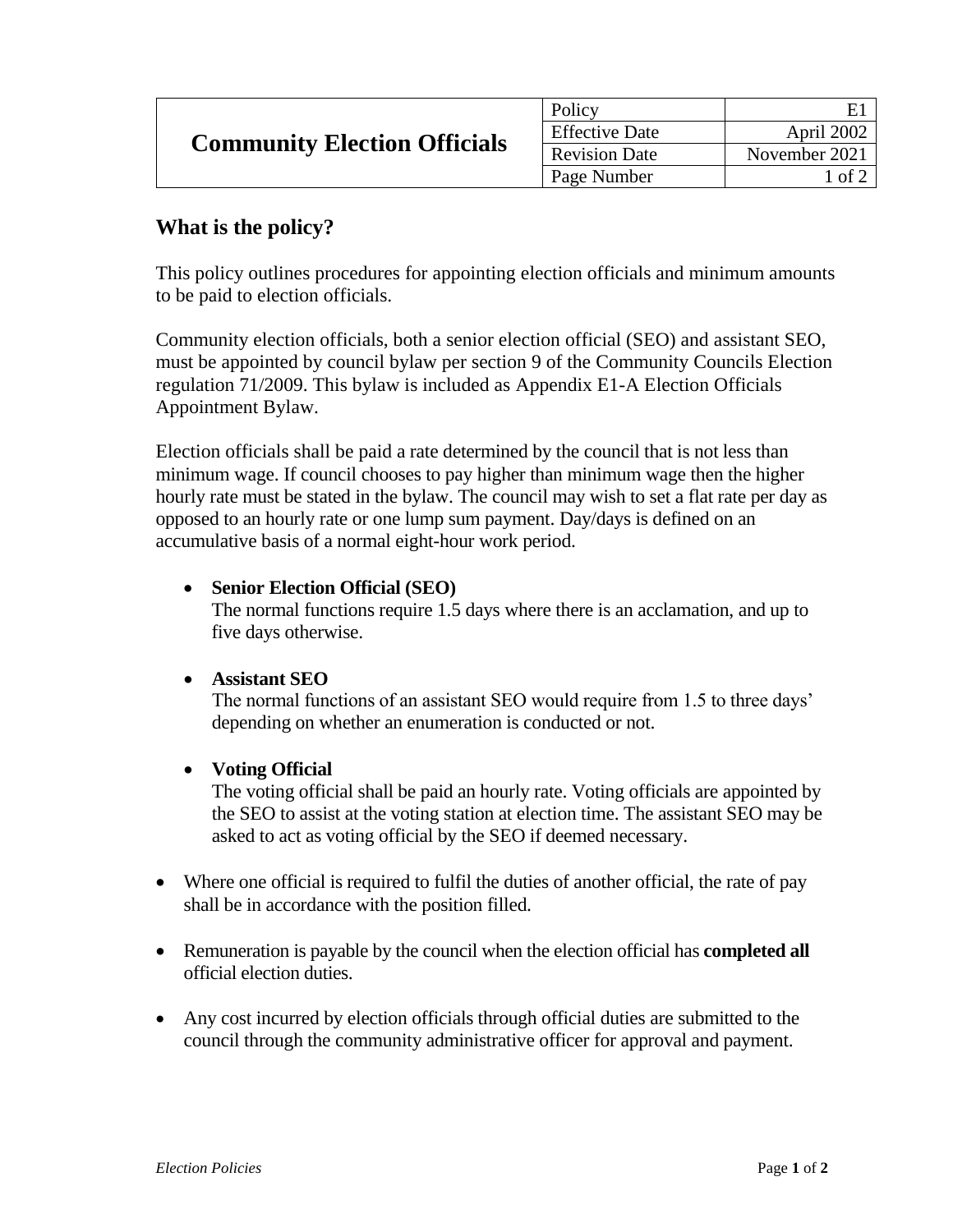| <b>Community Election Officials</b> | Policy                |               |
|-------------------------------------|-----------------------|---------------|
|                                     | <b>Effective Date</b> | April 2002    |
|                                     | <b>Revision Date</b>  | November 2021 |
|                                     | Page Number           | l of 2        |

### **What is the policy?**

This policy outlines procedures for appointing election officials and minimum amounts to be paid to election officials.

Community election officials, both a senior election official (SEO) and assistant SEO, must be appointed by council bylaw per section 9 of the Community Councils Election regulation 71/2009. This bylaw is included as Appendix E1-A Election Officials Appointment Bylaw.

Election officials shall be paid a rate determined by the council that is not less than minimum wage. If council chooses to pay higher than minimum wage then the higher hourly rate must be stated in the bylaw. The council may wish to set a flat rate per day as opposed to an hourly rate or one lump sum payment. Day/days is defined on an accumulative basis of a normal eight-hour work period.

#### **Senior Election Official (SEO)**

The normal functions require 1.5 days where there is an acclamation, and up to five days otherwise.

#### **Assistant SEO**

The normal functions of an assistant SEO would require from 1.5 to three days' depending on whether an enumeration is conducted or not.

### **Voting Official**

The voting official shall be paid an hourly rate. Voting officials are appointed by the SEO to assist at the voting station at election time. The assistant SEO may be asked to act as voting official by the SEO if deemed necessary.

- Where one official is required to fulfil the duties of another official, the rate of pay shall be in accordance with the position filled.
- Remuneration is payable by the council when the election official has **completed all** official election duties.
- Any cost incurred by election officials through official duties are submitted to the council through the community administrative officer for approval and payment.